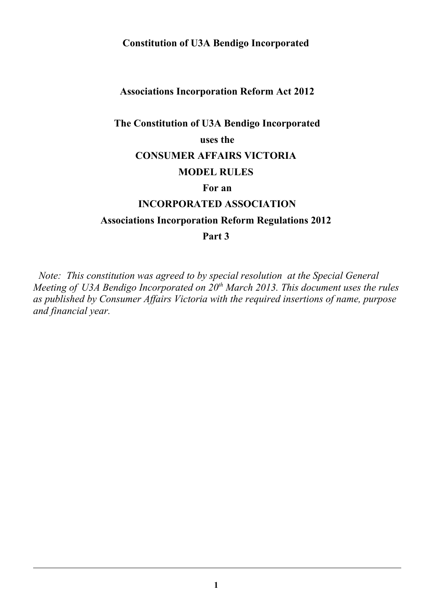# **Constitution of U3A Bendigo Incorporated**

## **Associations Incorporation Reform Act 2012**

# **The Constitution of U3A Bendigo Incorporated**

## **uses the**

# **CONSUMER AFFAIRS VICTORIA**

## **MODEL RULES**

## **For an**

## **INCORPORATED ASSOCIATION**

# **Associations Incorporation Reform Regulations 2012**

# **Part 3**

 *Note: This constitution was agreed to by special resolution at the Special General Meeting of U3A Bendigo Incorporated on 20th March 2013. This document uses the rules as published by Consumer Affairs Victoria with the required insertions of name, purpose and financial year.*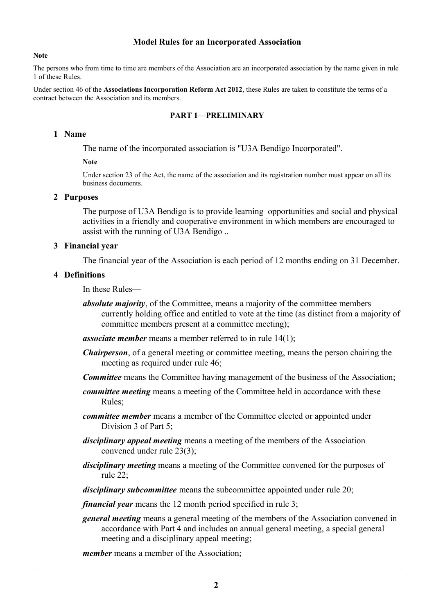#### **Model Rules for an Incorporated Association**

#### **Note**

The persons who from time to time are members of the Association are an incorporated association by the name given in rule 1 of these Rules.

Under section 46 of the **Associations Incorporation Reform Act 2012**, these Rules are taken to constitute the terms of a contract between the Association and its members.

#### **PART 1—PRELIMINARY**

#### **1 Name**

The name of the incorporated association is "U3A Bendigo Incorporated".

#### **Note**

Under section 23 of the Act, the name of the association and its registration number must appear on all its business documents.

#### **2 Purposes**

The purpose of U3A Bendigo is to provide learning opportunities and social and physical activities in a friendly and cooperative environment in which members are encouraged to assist with the running of U3A Bendigo ..

#### **3 Financial year**

The financial year of the Association is each period of 12 months ending on 31 December.

#### **4 Definitions**

In these Rules—

*absolute majority*, of the Committee, means a majority of the committee members currently holding office and entitled to vote at the time (as distinct from a majority of committee members present at a committee meeting);

*associate member* means a member referred to in rule 14(1);

- *Chairperson*, of a general meeting or committee meeting, means the person chairing the meeting as required under rule 46;
- *Committee* means the Committee having management of the business of the Association;
- *committee meeting* means a meeting of the Committee held in accordance with these Rules;
- *committee member* means a member of the Committee elected or appointed under Division 3 of Part 5;
- *disciplinary appeal meeting* means a meeting of the members of the Association convened under rule 23(3);
- *disciplinary meeting* means a meeting of the Committee convened for the purposes of rule 22;
- *disciplinary subcommittee* means the subcommittee appointed under rule 20;

*financial year* means the 12 month period specified in rule 3;

*general meeting* means a general meeting of the members of the Association convened in accordance with Part 4 and includes an annual general meeting, a special general meeting and a disciplinary appeal meeting;

*member* means a member of the Association;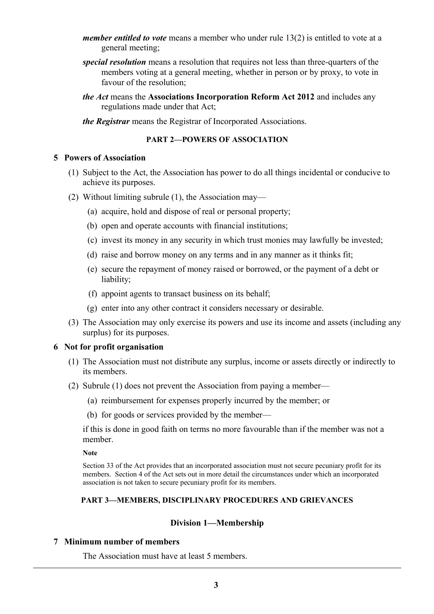- *member entitled to vote* means a member who under rule 13(2) is entitled to vote at a general meeting;
- *special resolution* means a resolution that requires not less than three-quarters of the members voting at a general meeting, whether in person or by proxy, to vote in favour of the resolution;
- *the Act* means the **Associations Incorporation Reform Act 2012** and includes any regulations made under that Act;
- *the Registrar* means the Registrar of Incorporated Associations.

#### **PART 2—POWERS OF ASSOCIATION**

#### **5 Powers of Association**

- (1) Subject to the Act, the Association has power to do all things incidental or conducive to achieve its purposes.
- (2) Without limiting subrule (1), the Association may—
	- (a) acquire, hold and dispose of real or personal property;
	- (b) open and operate accounts with financial institutions;
	- (c) invest its money in any security in which trust monies may lawfully be invested;
	- (d) raise and borrow money on any terms and in any manner as it thinks fit;
	- (e) secure the repayment of money raised or borrowed, or the payment of a debt or liability;
	- (f) appoint agents to transact business on its behalf;
	- (g) enter into any other contract it considers necessary or desirable.
- (3) The Association may only exercise its powers and use its income and assets (including any surplus) for its purposes.

#### **6 Not for profit organisation**

- (1) The Association must not distribute any surplus, income or assets directly or indirectly to its members.
- (2) Subrule (1) does not prevent the Association from paying a member—
	- (a) reimbursement for expenses properly incurred by the member; or
	- (b) for goods or services provided by the member—

if this is done in good faith on terms no more favourable than if the member was not a member.

**Note**

Section 33 of the Act provides that an incorporated association must not secure pecuniary profit for its members. Section 4 of the Act sets out in more detail the circumstances under which an incorporated association is not taken to secure pecuniary profit for its members.

#### **PART 3—MEMBERS, DISCIPLINARY PROCEDURES AND GRIEVANCES**

#### **Division 1—Membership**

### **7 Minimum number of members**

The Association must have at least 5 members.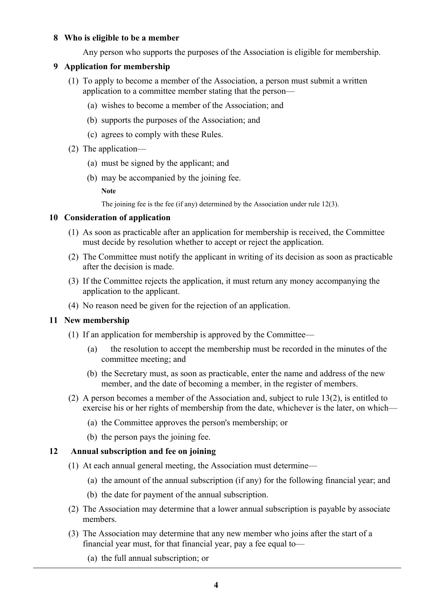## **8 Who is eligible to be a member**

Any person who supports the purposes of the Association is eligible for membership.

## **9 Application for membership**

- (1) To apply to become a member of the Association, a person must submit a written application to a committee member stating that the person—
	- (a) wishes to become a member of the Association; and
	- (b) supports the purposes of the Association; and
	- (c) agrees to comply with these Rules.
- (2) The application—
	- (a) must be signed by the applicant; and
	- (b) may be accompanied by the joining fee.

**Note**

The joining fee is the fee (if any) determined by the Association under rule 12(3).

#### **10 Consideration of application**

- (1) As soon as practicable after an application for membership is received, the Committee must decide by resolution whether to accept or reject the application.
- (2) The Committee must notify the applicant in writing of its decision as soon as practicable after the decision is made.
- (3) If the Committee rejects the application, it must return any money accompanying the application to the applicant.
- (4) No reason need be given for the rejection of an application.

#### **11 New membership**

- (1) If an application for membership is approved by the Committee—
	- (a) the resolution to accept the membership must be recorded in the minutes of the committee meeting; and
	- (b) the Secretary must, as soon as practicable, enter the name and address of the new member, and the date of becoming a member, in the register of members.
- (2) A person becomes a member of the Association and, subject to rule 13(2), is entitled to exercise his or her rights of membership from the date, whichever is the later, on which—
	- (a) the Committee approves the person's membership; or
	- (b) the person pays the joining fee.

#### **12 Annual subscription and fee on joining**

- (1) At each annual general meeting, the Association must determine—
	- (a) the amount of the annual subscription (if any) for the following financial year; and
	- (b) the date for payment of the annual subscription.
- (2) The Association may determine that a lower annual subscription is payable by associate members.
- (3) The Association may determine that any new member who joins after the start of a financial year must, for that financial year, pay a fee equal to—
	- (a) the full annual subscription; or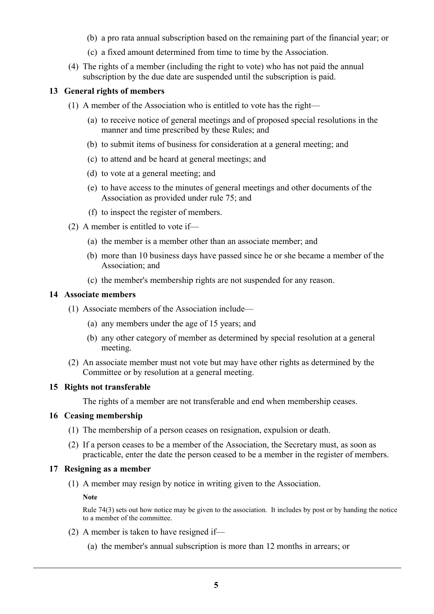- (b) a pro rata annual subscription based on the remaining part of the financial year; or
- (c) a fixed amount determined from time to time by the Association.
- (4) The rights of a member (including the right to vote) who has not paid the annual subscription by the due date are suspended until the subscription is paid.

## **13 General rights of members**

- (1) A member of the Association who is entitled to vote has the right—
	- (a) to receive notice of general meetings and of proposed special resolutions in the manner and time prescribed by these Rules; and
	- (b) to submit items of business for consideration at a general meeting; and
	- (c) to attend and be heard at general meetings; and
	- (d) to vote at a general meeting; and
	- (e) to have access to the minutes of general meetings and other documents of the Association as provided under rule 75; and
	- (f) to inspect the register of members.
- (2) A member is entitled to vote if—
	- (a) the member is a member other than an associate member; and
	- (b) more than 10 business days have passed since he or she became a member of the Association; and
	- (c) the member's membership rights are not suspended for any reason.

## **14 Associate members**

- (1) Associate members of the Association include—
	- (a) any members under the age of 15 years; and
	- (b) any other category of member as determined by special resolution at a general meeting.
- (2) An associate member must not vote but may have other rights as determined by the Committee or by resolution at a general meeting.

## **15 Rights not transferable**

The rights of a member are not transferable and end when membership ceases.

#### **16 Ceasing membership**

- (1) The membership of a person ceases on resignation, expulsion or death.
- (2) If a person ceases to be a member of the Association, the Secretary must, as soon as practicable, enter the date the person ceased to be a member in the register of members.

#### **17 Resigning as a member**

(1) A member may resign by notice in writing given to the Association.

**Note**

Rule 74(3) sets out how notice may be given to the association. It includes by post or by handing the notice to a member of the committee.

- (2) A member is taken to have resigned if—
	- (a) the member's annual subscription is more than 12 months in arrears; or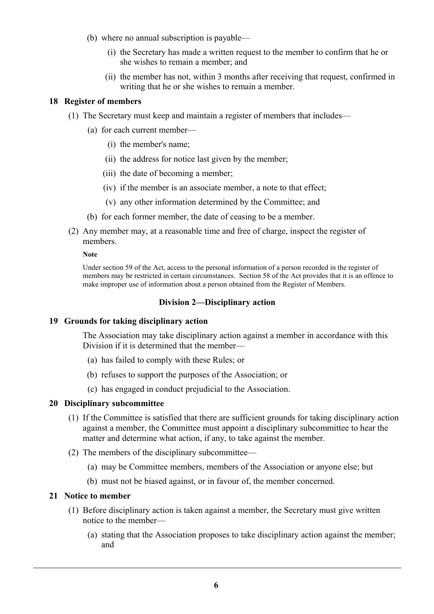- (b) where no annual subscription is payable—
	- (i) the Secretary has made a written request to the member to confirm that he or she wishes to remain a member; and
	- (ii) the member has not, within 3 months after receiving that request, confirmed in writing that he or she wishes to remain a member.

## **18 Register of members**

- (1) The Secretary must keep and maintain a register of members that includes—
	- (a) for each current member—
		- (i) the member's name;
		- (ii) the address for notice last given by the member;
		- (iii) the date of becoming a member;
		- (iv) if the member is an associate member, a note to that effect;
		- (v) any other information determined by the Committee; and
	- (b) for each former member, the date of ceasing to be a member.
- (2) Any member may, at a reasonable time and free of charge, inspect the register of members.

#### **Note**

Under section 59 of the Act, access to the personal information of a person recorded in the register of members may be restricted in certain circumstances. Section 58 of the Act provides that it is an offence to make improper use of information about a person obtained from the Register of Members.

## **Division 2—Disciplinary action**

#### **19 Grounds for taking disciplinary action**

The Association may take disciplinary action against a member in accordance with this Division if it is determined that the member—

- (a) has failed to comply with these Rules; or
- (b) refuses to support the purposes of the Association; or
- (c) has engaged in conduct prejudicial to the Association.

#### **20 Disciplinary subcommittee**

- (1) If the Committee is satisfied that there are sufficient grounds for taking disciplinary action against a member, the Committee must appoint a disciplinary subcommittee to hear the matter and determine what action, if any, to take against the member.
- (2) The members of the disciplinary subcommittee—
	- (a) may be Committee members, members of the Association or anyone else; but
	- (b) must not be biased against, or in favour of, the member concerned.

### **21 Notice to member**

- (1) Before disciplinary action is taken against a member, the Secretary must give written notice to the member—
	- (a) stating that the Association proposes to take disciplinary action against the member; and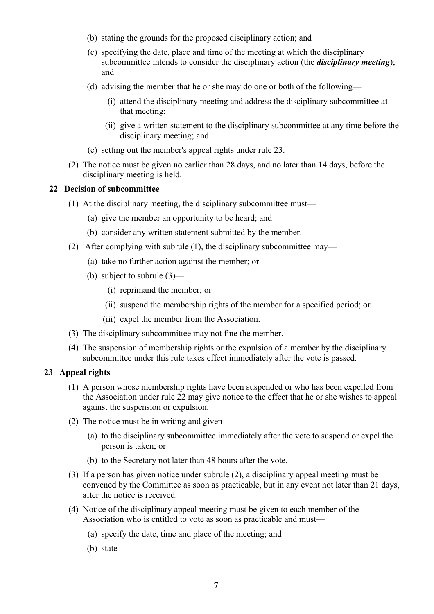- (b) stating the grounds for the proposed disciplinary action; and
- (c) specifying the date, place and time of the meeting at which the disciplinary subcommittee intends to consider the disciplinary action (the *disciplinary meeting*); and
- (d) advising the member that he or she may do one or both of the following—
	- (i) attend the disciplinary meeting and address the disciplinary subcommittee at that meeting;
	- (ii) give a written statement to the disciplinary subcommittee at any time before the disciplinary meeting; and
- (e) setting out the member's appeal rights under rule 23.
- (2) The notice must be given no earlier than 28 days, and no later than 14 days, before the disciplinary meeting is held.

## **22 Decision of subcommittee**

- (1) At the disciplinary meeting, the disciplinary subcommittee must—
	- (a) give the member an opportunity to be heard; and
	- (b) consider any written statement submitted by the member.
- (2) After complying with subrule (1), the disciplinary subcommittee may—
	- (a) take no further action against the member; or
	- (b) subject to subrule (3)—
		- (i) reprimand the member; or
		- (ii) suspend the membership rights of the member for a specified period; or
		- (iii) expel the member from the Association.
- (3) The disciplinary subcommittee may not fine the member.
- (4) The suspension of membership rights or the expulsion of a member by the disciplinary subcommittee under this rule takes effect immediately after the vote is passed.

## **23 Appeal rights**

- (1) A person whose membership rights have been suspended or who has been expelled from the Association under rule 22 may give notice to the effect that he or she wishes to appeal against the suspension or expulsion.
- (2) The notice must be in writing and given—
	- (a) to the disciplinary subcommittee immediately after the vote to suspend or expel the person is taken; or
	- (b) to the Secretary not later than 48 hours after the vote.
- (3) If a person has given notice under subrule (2), a disciplinary appeal meeting must be convened by the Committee as soon as practicable, but in any event not later than 21 days, after the notice is received.
- (4) Notice of the disciplinary appeal meeting must be given to each member of the Association who is entitled to vote as soon as practicable and must—
	- (a) specify the date, time and place of the meeting; and
	- (b) state—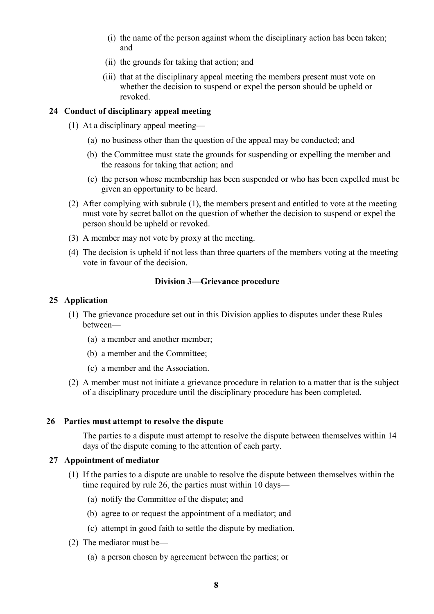- (i) the name of the person against whom the disciplinary action has been taken; and
- (ii) the grounds for taking that action; and
- (iii) that at the disciplinary appeal meeting the members present must vote on whether the decision to suspend or expel the person should be upheld or revoked.

## **24 Conduct of disciplinary appeal meeting**

- (1) At a disciplinary appeal meeting—
	- (a) no business other than the question of the appeal may be conducted; and
	- (b) the Committee must state the grounds for suspending or expelling the member and the reasons for taking that action; and
	- (c) the person whose membership has been suspended or who has been expelled must be given an opportunity to be heard.
- (2) After complying with subrule (1), the members present and entitled to vote at the meeting must vote by secret ballot on the question of whether the decision to suspend or expel the person should be upheld or revoked.
- (3) A member may not vote by proxy at the meeting.
- (4) The decision is upheld if not less than three quarters of the members voting at the meeting vote in favour of the decision.

## **Division 3—Grievance procedure**

## **25 Application**

- (1) The grievance procedure set out in this Division applies to disputes under these Rules between—
	- (a) a member and another member;
	- (b) a member and the Committee;
	- (c) a member and the Association.
- (2) A member must not initiate a grievance procedure in relation to a matter that is the subject of a disciplinary procedure until the disciplinary procedure has been completed.

#### **26 Parties must attempt to resolve the dispute**

The parties to a dispute must attempt to resolve the dispute between themselves within 14 days of the dispute coming to the attention of each party.

#### **27 Appointment of mediator**

- (1) If the parties to a dispute are unable to resolve the dispute between themselves within the time required by rule 26, the parties must within 10 days—
	- (a) notify the Committee of the dispute; and
	- (b) agree to or request the appointment of a mediator; and
	- (c) attempt in good faith to settle the dispute by mediation.
- (2) The mediator must be—
	- (a) a person chosen by agreement between the parties; or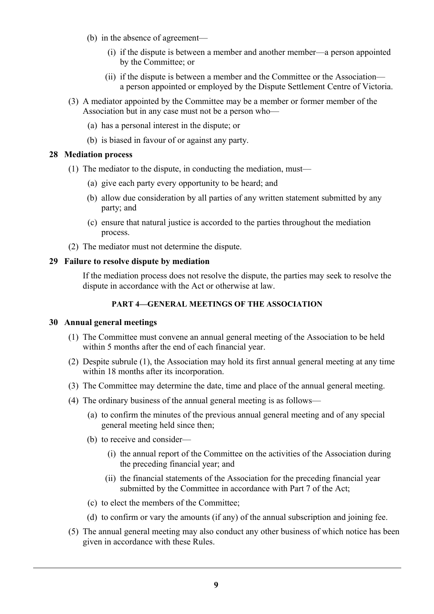- (b) in the absence of agreement—
	- (i) if the dispute is between a member and another member—a person appointed by the Committee; or
	- (ii) if the dispute is between a member and the Committee or the Association a person appointed or employed by the Dispute Settlement Centre of Victoria.
- (3) A mediator appointed by the Committee may be a member or former member of the Association but in any case must not be a person who—
	- (a) has a personal interest in the dispute; or
	- (b) is biased in favour of or against any party.

#### **28 Mediation process**

- (1) The mediator to the dispute, in conducting the mediation, must—
	- (a) give each party every opportunity to be heard; and
	- (b) allow due consideration by all parties of any written statement submitted by any party; and
	- (c) ensure that natural justice is accorded to the parties throughout the mediation process.
- (2) The mediator must not determine the dispute.

## **29 Failure to resolve dispute by mediation**

If the mediation process does not resolve the dispute, the parties may seek to resolve the dispute in accordance with the Act or otherwise at law.

## **PART 4—GENERAL MEETINGS OF THE ASSOCIATION**

#### **30 Annual general meetings**

- (1) The Committee must convene an annual general meeting of the Association to be held within 5 months after the end of each financial year.
- (2) Despite subrule (1), the Association may hold its first annual general meeting at any time within 18 months after its incorporation.
- (3) The Committee may determine the date, time and place of the annual general meeting.
- (4) The ordinary business of the annual general meeting is as follows—
	- (a) to confirm the minutes of the previous annual general meeting and of any special general meeting held since then;
	- (b) to receive and consider—
		- (i) the annual report of the Committee on the activities of the Association during the preceding financial year; and
		- (ii) the financial statements of the Association for the preceding financial year submitted by the Committee in accordance with Part 7 of the Act;
	- (c) to elect the members of the Committee;
	- (d) to confirm or vary the amounts (if any) of the annual subscription and joining fee.
- (5) The annual general meeting may also conduct any other business of which notice has been given in accordance with these Rules.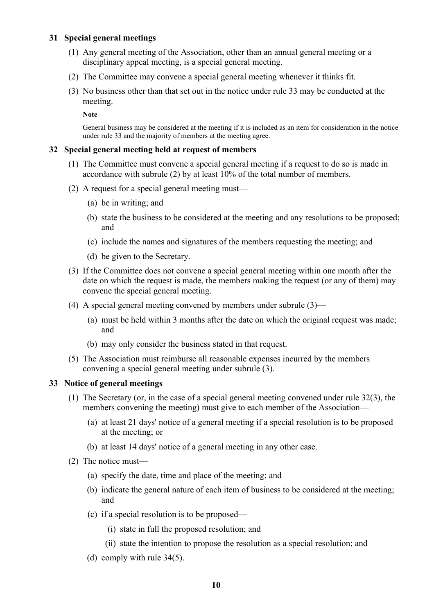## **31 Special general meetings**

- (1) Any general meeting of the Association, other than an annual general meeting or a disciplinary appeal meeting, is a special general meeting.
- (2) The Committee may convene a special general meeting whenever it thinks fit.
- (3) No business other than that set out in the notice under rule 33 may be conducted at the meeting.

**Note**

General business may be considered at the meeting if it is included as an item for consideration in the notice under rule 33 and the majority of members at the meeting agree.

#### **32 Special general meeting held at request of members**

- (1) The Committee must convene a special general meeting if a request to do so is made in accordance with subrule (2) by at least 10% of the total number of members.
- (2) A request for a special general meeting must—
	- (a) be in writing; and
	- (b) state the business to be considered at the meeting and any resolutions to be proposed; and
	- (c) include the names and signatures of the members requesting the meeting; and
	- (d) be given to the Secretary.
- (3) If the Committee does not convene a special general meeting within one month after the date on which the request is made, the members making the request (or any of them) may convene the special general meeting.
- (4) A special general meeting convened by members under subrule (3)—
	- (a) must be held within 3 months after the date on which the original request was made; and
	- (b) may only consider the business stated in that request.
- (5) The Association must reimburse all reasonable expenses incurred by the members convening a special general meeting under subrule (3).

### **33 Notice of general meetings**

- (1) The Secretary (or, in the case of a special general meeting convened under rule 32(3), the members convening the meeting) must give to each member of the Association—
	- (a) at least 21 days' notice of a general meeting if a special resolution is to be proposed at the meeting; or
	- (b) at least 14 days' notice of a general meeting in any other case.
- (2) The notice must—
	- (a) specify the date, time and place of the meeting; and
	- (b) indicate the general nature of each item of business to be considered at the meeting; and
	- (c) if a special resolution is to be proposed—
		- (i) state in full the proposed resolution; and
		- (ii) state the intention to propose the resolution as a special resolution; and
	- (d) comply with rule 34(5).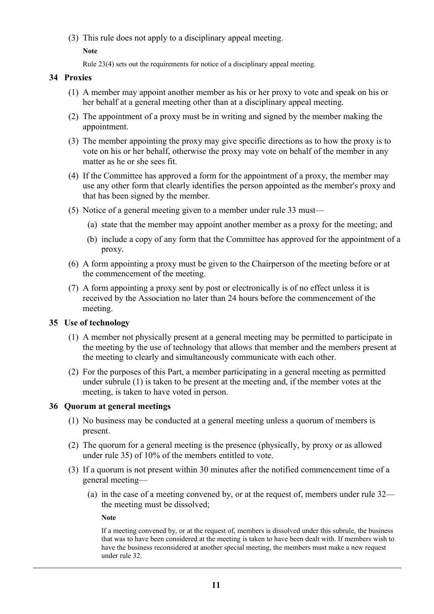(3) This rule does not apply to a disciplinary appeal meeting.

**Note**

Rule 23(4) sets out the requirements for notice of a disciplinary appeal meeting.

## **34 Proxies**

- (1) A member may appoint another member as his or her proxy to vote and speak on his or her behalf at a general meeting other than at a disciplinary appeal meeting.
- (2) The appointment of a proxy must be in writing and signed by the member making the appointment.
- (3) The member appointing the proxy may give specific directions as to how the proxy is to vote on his or her behalf, otherwise the proxy may vote on behalf of the member in any matter as he or she sees fit.
- (4) If the Committee has approved a form for the appointment of a proxy, the member may use any other form that clearly identifies the person appointed as the member's proxy and that has been signed by the member.
- (5) Notice of a general meeting given to a member under rule 33 must—
	- (a) state that the member may appoint another member as a proxy for the meeting; and
	- (b) include a copy of any form that the Committee has approved for the appointment of a proxy.
- (6) A form appointing a proxy must be given to the Chairperson of the meeting before or at the commencement of the meeting.
- (7) A form appointing a proxy sent by post or electronically is of no effect unless it is received by the Association no later than 24 hours before the commencement of the meeting.

## **35 Use of technology**

- (1) A member not physically present at a general meeting may be permitted to participate in the meeting by the use of technology that allows that member and the members present at the meeting to clearly and simultaneously communicate with each other.
- (2) For the purposes of this Part, a member participating in a general meeting as permitted under subrule (1) is taken to be present at the meeting and, if the member votes at the meeting, is taken to have voted in person.

## **36 Quorum at general meetings**

- (1) No business may be conducted at a general meeting unless a quorum of members is present.
- (2) The quorum for a general meeting is the presence (physically, by proxy or as allowed under rule 35) of 10% of the members entitled to vote.
- (3) If a quorum is not present within 30 minutes after the notified commencement time of a general meeting—
	- (a) in the case of a meeting convened by, or at the request of, members under rule 32 the meeting must be dissolved;

**Note**

If a meeting convened by, or at the request of, members is dissolved under this subrule, the business that was to have been considered at the meeting is taken to have been dealt with. If members wish to have the business reconsidered at another special meeting, the members must make a new request under rule 32.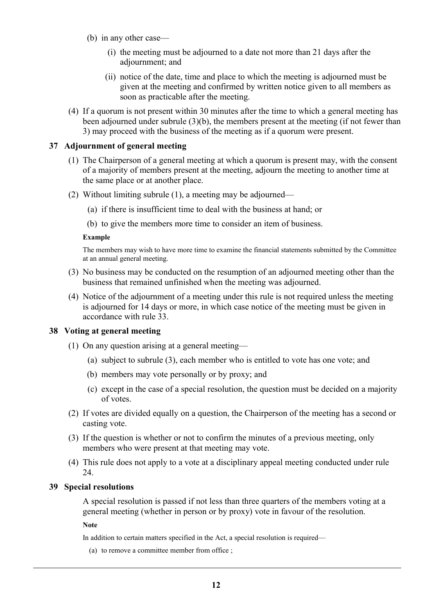- (b) in any other case—
	- (i) the meeting must be adjourned to a date not more than 21 days after the adjournment; and
	- (ii) notice of the date, time and place to which the meeting is adjourned must be given at the meeting and confirmed by written notice given to all members as soon as practicable after the meeting.
- (4) If a quorum is not present within 30 minutes after the time to which a general meeting has been adjourned under subrule (3)(b), the members present at the meeting (if not fewer than 3) may proceed with the business of the meeting as if a quorum were present.

#### **37 Adjournment of general meeting**

- (1) The Chairperson of a general meeting at which a quorum is present may, with the consent of a majority of members present at the meeting, adjourn the meeting to another time at the same place or at another place.
- (2) Without limiting subrule (1), a meeting may be adjourned—
	- (a) if there is insufficient time to deal with the business at hand; or
	- (b) to give the members more time to consider an item of business.

#### **Example**

The members may wish to have more time to examine the financial statements submitted by the Committee at an annual general meeting.

- (3) No business may be conducted on the resumption of an adjourned meeting other than the business that remained unfinished when the meeting was adjourned.
- (4) Notice of the adjournment of a meeting under this rule is not required unless the meeting is adjourned for 14 days or more, in which case notice of the meeting must be given in accordance with rule 33.

#### **38 Voting at general meeting**

- (1) On any question arising at a general meeting—
	- (a) subject to subrule (3), each member who is entitled to vote has one vote; and
	- (b) members may vote personally or by proxy; and
	- (c) except in the case of a special resolution, the question must be decided on a majority of votes.
- (2) If votes are divided equally on a question, the Chairperson of the meeting has a second or casting vote.
- (3) If the question is whether or not to confirm the minutes of a previous meeting, only members who were present at that meeting may vote.
- (4) This rule does not apply to a vote at a disciplinary appeal meeting conducted under rule 24.

#### **39 Special resolutions**

A special resolution is passed if not less than three quarters of the members voting at a general meeting (whether in person or by proxy) vote in favour of the resolution.

**Note**

In addition to certain matters specified in the Act, a special resolution is required—

(a) to remove a committee member from office ;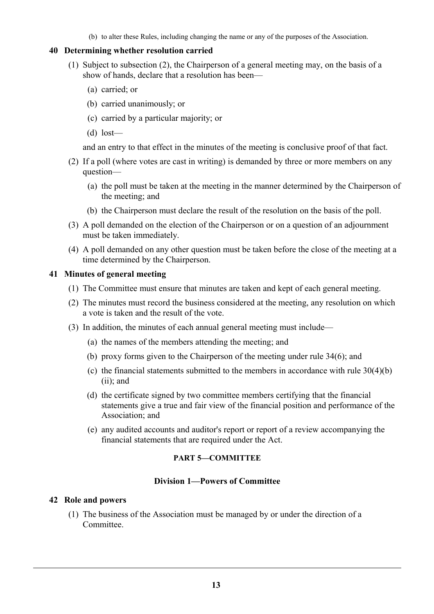(b) to alter these Rules, including changing the name or any of the purposes of the Association.

#### **40 Determining whether resolution carried**

- (1) Subject to subsection (2), the Chairperson of a general meeting may, on the basis of a show of hands, declare that a resolution has been—
	- (a) carried; or
	- (b) carried unanimously; or
	- (c) carried by a particular majority; or
	- (d) lost—

and an entry to that effect in the minutes of the meeting is conclusive proof of that fact.

- (2) If a poll (where votes are cast in writing) is demanded by three or more members on any question—
	- (a) the poll must be taken at the meeting in the manner determined by the Chairperson of the meeting; and
	- (b) the Chairperson must declare the result of the resolution on the basis of the poll.
- (3) A poll demanded on the election of the Chairperson or on a question of an adjournment must be taken immediately.
- (4) A poll demanded on any other question must be taken before the close of the meeting at a time determined by the Chairperson.

## **41 Minutes of general meeting**

- (1) The Committee must ensure that minutes are taken and kept of each general meeting.
- (2) The minutes must record the business considered at the meeting, any resolution on which a vote is taken and the result of the vote.
- (3) In addition, the minutes of each annual general meeting must include—
	- (a) the names of the members attending the meeting; and
	- (b) proxy forms given to the Chairperson of the meeting under rule 34(6); and
	- (c) the financial statements submitted to the members in accordance with rule 30(4)(b) (ii); and
	- (d) the certificate signed by two committee members certifying that the financial statements give a true and fair view of the financial position and performance of the Association; and
	- (e) any audited accounts and auditor's report or report of a review accompanying the financial statements that are required under the Act.

### **PART 5—COMMITTEE**

#### **Division 1—Powers of Committee**

#### **42 Role and powers**

(1) The business of the Association must be managed by or under the direction of a Committee.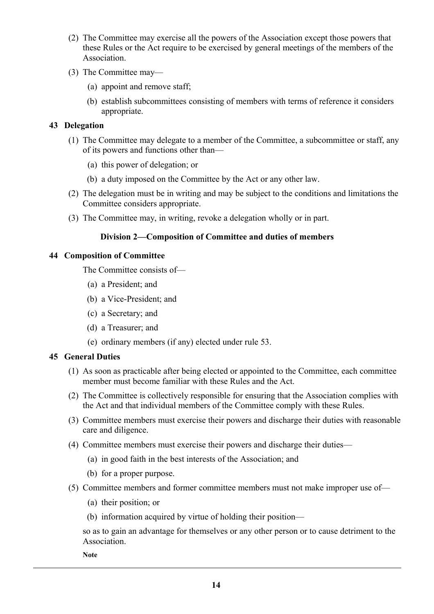- (2) The Committee may exercise all the powers of the Association except those powers that these Rules or the Act require to be exercised by general meetings of the members of the Association.
- (3) The Committee may—
	- (a) appoint and remove staff;
	- (b) establish subcommittees consisting of members with terms of reference it considers appropriate.

## **43 Delegation**

- (1) The Committee may delegate to a member of the Committee, a subcommittee or staff, any of its powers and functions other than—
	- (a) this power of delegation; or
	- (b) a duty imposed on the Committee by the Act or any other law.
- (2) The delegation must be in writing and may be subject to the conditions and limitations the Committee considers appropriate.
- (3) The Committee may, in writing, revoke a delegation wholly or in part.

## **Division 2—Composition of Committee and duties of members**

#### **44 Composition of Committee**

The Committee consists of—

- (a) a President; and
- (b) a Vice-President; and
- (c) a Secretary; and
- (d) a Treasurer; and
- (e) ordinary members (if any) elected under rule 53.

#### **45 General Duties**

- (1) As soon as practicable after being elected or appointed to the Committee, each committee member must become familiar with these Rules and the Act.
- (2) The Committee is collectively responsible for ensuring that the Association complies with the Act and that individual members of the Committee comply with these Rules.
- (3) Committee members must exercise their powers and discharge their duties with reasonable care and diligence.
- (4) Committee members must exercise their powers and discharge their duties—
	- (a) in good faith in the best interests of the Association; and
	- (b) for a proper purpose.
- (5) Committee members and former committee members must not make improper use of—
	- (a) their position; or
	- (b) information acquired by virtue of holding their position—

so as to gain an advantage for themselves or any other person or to cause detriment to the **Association** 

**Note**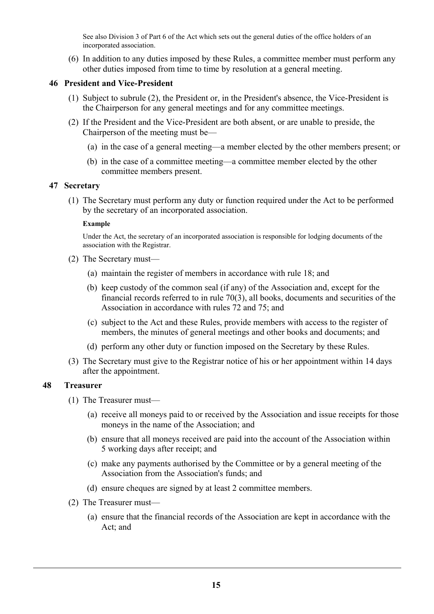See also Division 3 of Part 6 of the Act which sets out the general duties of the office holders of an incorporated association.

(6) In addition to any duties imposed by these Rules, a committee member must perform any other duties imposed from time to time by resolution at a general meeting.

## **46 President and Vice-President**

- (1) Subject to subrule (2), the President or, in the President's absence, the Vice-President is the Chairperson for any general meetings and for any committee meetings.
- (2) If the President and the Vice-President are both absent, or are unable to preside, the Chairperson of the meeting must be—
	- (a) in the case of a general meeting—a member elected by the other members present; or
	- (b) in the case of a committee meeting—a committee member elected by the other committee members present.

## **47 Secretary**

(1) The Secretary must perform any duty or function required under the Act to be performed by the secretary of an incorporated association.

#### **Example**

Under the Act, the secretary of an incorporated association is responsible for lodging documents of the association with the Registrar.

- (2) The Secretary must—
	- (a) maintain the register of members in accordance with rule 18; and
	- (b) keep custody of the common seal (if any) of the Association and, except for the financial records referred to in rule 70(3), all books, documents and securities of the Association in accordance with rules 72 and 75; and
	- (c) subject to the Act and these Rules, provide members with access to the register of members, the minutes of general meetings and other books and documents; and
	- (d) perform any other duty or function imposed on the Secretary by these Rules.
- (3) The Secretary must give to the Registrar notice of his or her appointment within 14 days after the appointment.

## **48 Treasurer**

- (1) The Treasurer must—
	- (a) receive all moneys paid to or received by the Association and issue receipts for those moneys in the name of the Association; and
	- (b) ensure that all moneys received are paid into the account of the Association within 5 working days after receipt; and
	- (c) make any payments authorised by the Committee or by a general meeting of the Association from the Association's funds; and
	- (d) ensure cheques are signed by at least 2 committee members.
- (2) The Treasurer must—
	- (a) ensure that the financial records of the Association are kept in accordance with the Act; and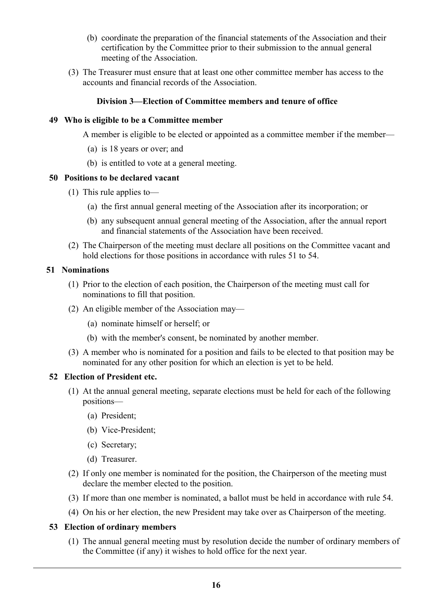- (b) coordinate the preparation of the financial statements of the Association and their certification by the Committee prior to their submission to the annual general meeting of the Association.
- (3) The Treasurer must ensure that at least one other committee member has access to the accounts and financial records of the Association.

## **Division 3—Election of Committee members and tenure of office**

#### **49 Who is eligible to be a Committee member**

A member is eligible to be elected or appointed as a committee member if the member—

- (a) is 18 years or over; and
- (b) is entitled to vote at a general meeting.

#### **50 Positions to be declared vacant**

- (1) This rule applies to—
	- (a) the first annual general meeting of the Association after its incorporation; or
	- (b) any subsequent annual general meeting of the Association, after the annual report and financial statements of the Association have been received.
- (2) The Chairperson of the meeting must declare all positions on the Committee vacant and hold elections for those positions in accordance with rules 51 to 54.

## **51 Nominations**

- (1) Prior to the election of each position, the Chairperson of the meeting must call for nominations to fill that position.
- (2) An eligible member of the Association may—
	- (a) nominate himself or herself; or
	- (b) with the member's consent, be nominated by another member.
- (3) A member who is nominated for a position and fails to be elected to that position may be nominated for any other position for which an election is yet to be held.

#### **52 Election of President etc.**

- (1) At the annual general meeting, separate elections must be held for each of the following positions—
	- (a) President;
	- (b) Vice-President;
	- (c) Secretary;
	- (d) Treasurer.
- (2) If only one member is nominated for the position, the Chairperson of the meeting must declare the member elected to the position.
- (3) If more than one member is nominated, a ballot must be held in accordance with rule 54.
- (4) On his or her election, the new President may take over as Chairperson of the meeting.

## **53 Election of ordinary members**

(1) The annual general meeting must by resolution decide the number of ordinary members of the Committee (if any) it wishes to hold office for the next year.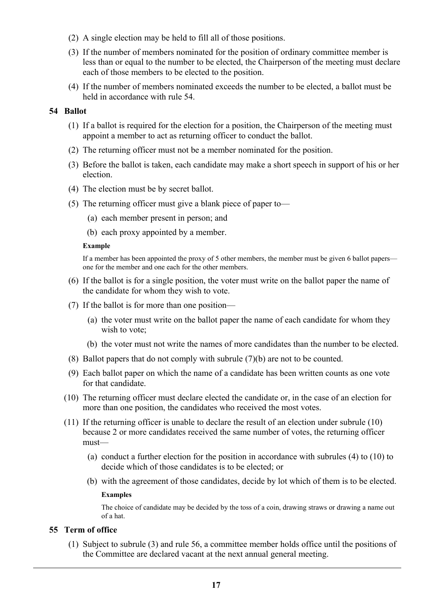- (2) A single election may be held to fill all of those positions.
- (3) If the number of members nominated for the position of ordinary committee member is less than or equal to the number to be elected, the Chairperson of the meeting must declare each of those members to be elected to the position.
- (4) If the number of members nominated exceeds the number to be elected, a ballot must be held in accordance with rule 54.

### **54 Ballot**

- (1) If a ballot is required for the election for a position, the Chairperson of the meeting must appoint a member to act as returning officer to conduct the ballot.
- (2) The returning officer must not be a member nominated for the position.
- (3) Before the ballot is taken, each candidate may make a short speech in support of his or her election.
- (4) The election must be by secret ballot.
- (5) The returning officer must give a blank piece of paper to—
	- (a) each member present in person; and
	- (b) each proxy appointed by a member.

#### **Example**

If a member has been appointed the proxy of 5 other members, the member must be given 6 ballot papers one for the member and one each for the other members.

- (6) If the ballot is for a single position, the voter must write on the ballot paper the name of the candidate for whom they wish to vote.
- (7) If the ballot is for more than one position—
	- (a) the voter must write on the ballot paper the name of each candidate for whom they wish to vote;
	- (b) the voter must not write the names of more candidates than the number to be elected.
- (8) Ballot papers that do not comply with subrule (7)(b) are not to be counted.
- (9) Each ballot paper on which the name of a candidate has been written counts as one vote for that candidate.
- (10) The returning officer must declare elected the candidate or, in the case of an election for more than one position, the candidates who received the most votes.
- (11) If the returning officer is unable to declare the result of an election under subrule (10) because 2 or more candidates received the same number of votes, the returning officer must—
	- (a) conduct a further election for the position in accordance with subrules (4) to (10) to decide which of those candidates is to be elected; or
	- (b) with the agreement of those candidates, decide by lot which of them is to be elected.

#### **Examples**

The choice of candidate may be decided by the toss of a coin, drawing straws or drawing a name out of a hat.

## **55 Term of office**

(1) Subject to subrule (3) and rule 56, a committee member holds office until the positions of the Committee are declared vacant at the next annual general meeting.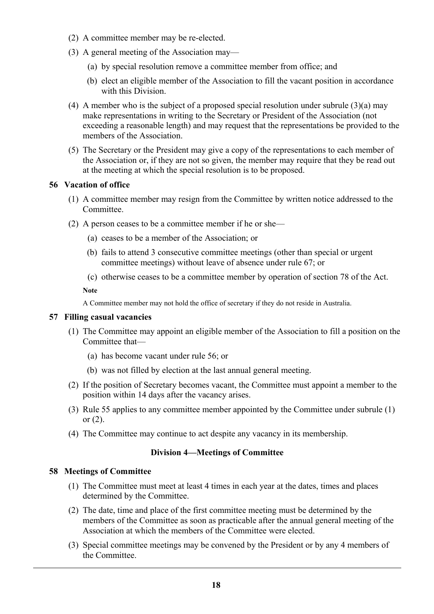- (2) A committee member may be re-elected.
- (3) A general meeting of the Association may—
	- (a) by special resolution remove a committee member from office; and
	- (b) elect an eligible member of the Association to fill the vacant position in accordance with this Division.
- (4) A member who is the subject of a proposed special resolution under subrule (3)(a) may make representations in writing to the Secretary or President of the Association (not exceeding a reasonable length) and may request that the representations be provided to the members of the Association.
- (5) The Secretary or the President may give a copy of the representations to each member of the Association or, if they are not so given, the member may require that they be read out at the meeting at which the special resolution is to be proposed.

## **56 Vacation of office**

- (1) A committee member may resign from the Committee by written notice addressed to the Committee.
- (2) A person ceases to be a committee member if he or she—
	- (a) ceases to be a member of the Association; or
	- (b) fails to attend 3 consecutive committee meetings (other than special or urgent committee meetings) without leave of absence under rule 67; or
	- (c) otherwise ceases to be a committee member by operation of section 78 of the Act.

**Note**

A Committee member may not hold the office of secretary if they do not reside in Australia.

#### **57 Filling casual vacancies**

- (1) The Committee may appoint an eligible member of the Association to fill a position on the Committee that—
	- (a) has become vacant under rule 56; or
	- (b) was not filled by election at the last annual general meeting.
- (2) If the position of Secretary becomes vacant, the Committee must appoint a member to the position within 14 days after the vacancy arises.
- (3) Rule 55 applies to any committee member appointed by the Committee under subrule (1) or (2).
- (4) The Committee may continue to act despite any vacancy in its membership.

## **Division 4—Meetings of Committee**

#### **58 Meetings of Committee**

- (1) The Committee must meet at least 4 times in each year at the dates, times and places determined by the Committee.
- (2) The date, time and place of the first committee meeting must be determined by the members of the Committee as soon as practicable after the annual general meeting of the Association at which the members of the Committee were elected.
- (3) Special committee meetings may be convened by the President or by any 4 members of the Committee.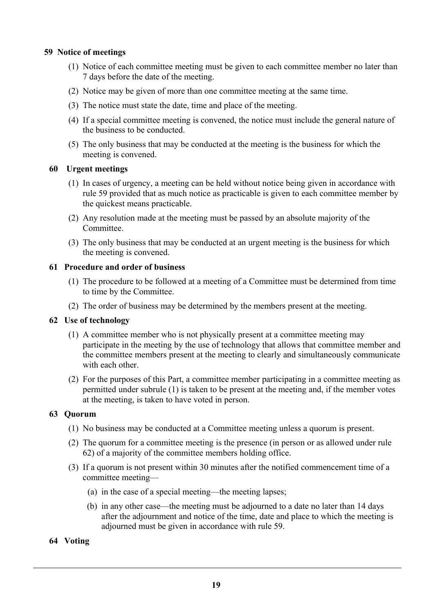## **59 Notice of meetings**

- (1) Notice of each committee meeting must be given to each committee member no later than 7 days before the date of the meeting.
- (2) Notice may be given of more than one committee meeting at the same time.
- (3) The notice must state the date, time and place of the meeting.
- (4) If a special committee meeting is convened, the notice must include the general nature of the business to be conducted.
- (5) The only business that may be conducted at the meeting is the business for which the meeting is convened.

#### **60 Urgent meetings**

- (1) In cases of urgency, a meeting can be held without notice being given in accordance with rule 59 provided that as much notice as practicable is given to each committee member by the quickest means practicable.
- (2) Any resolution made at the meeting must be passed by an absolute majority of the Committee.
- (3) The only business that may be conducted at an urgent meeting is the business for which the meeting is convened.

## **61 Procedure and order of business**

- (1) The procedure to be followed at a meeting of a Committee must be determined from time to time by the Committee.
- (2) The order of business may be determined by the members present at the meeting.

## **62 Use of technology**

- (1) A committee member who is not physically present at a committee meeting may participate in the meeting by the use of technology that allows that committee member and the committee members present at the meeting to clearly and simultaneously communicate with each other.
- (2) For the purposes of this Part, a committee member participating in a committee meeting as permitted under subrule (1) is taken to be present at the meeting and, if the member votes at the meeting, is taken to have voted in person.

## **63 Quorum**

- (1) No business may be conducted at a Committee meeting unless a quorum is present.
- (2) The quorum for a committee meeting is the presence (in person or as allowed under rule 62) of a majority of the committee members holding office.
- (3) If a quorum is not present within 30 minutes after the notified commencement time of a committee meeting—
	- (a) in the case of a special meeting—the meeting lapses;
	- (b) in any other case—the meeting must be adjourned to a date no later than 14 days after the adjournment and notice of the time, date and place to which the meeting is adjourned must be given in accordance with rule 59.
- **64 Voting**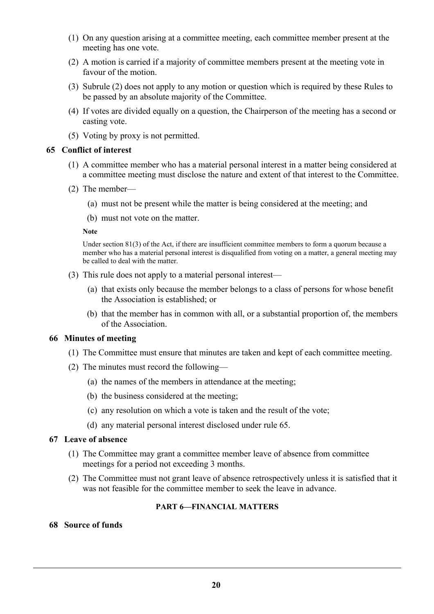- (1) On any question arising at a committee meeting, each committee member present at the meeting has one vote.
- (2) A motion is carried if a majority of committee members present at the meeting vote in favour of the motion.
- (3) Subrule (2) does not apply to any motion or question which is required by these Rules to be passed by an absolute majority of the Committee.
- (4) If votes are divided equally on a question, the Chairperson of the meeting has a second or casting vote.
- (5) Voting by proxy is not permitted.

### **65 Conflict of interest**

- (1) A committee member who has a material personal interest in a matter being considered at a committee meeting must disclose the nature and extent of that interest to the Committee.
- (2) The member—
	- (a) must not be present while the matter is being considered at the meeting; and
	- (b) must not vote on the matter.

#### **Note**

Under section 81(3) of the Act, if there are insufficient committee members to form a quorum because a member who has a material personal interest is disqualified from voting on a matter, a general meeting may be called to deal with the matter.

- (3) This rule does not apply to a material personal interest—
	- (a) that exists only because the member belongs to a class of persons for whose benefit the Association is established; or
	- (b) that the member has in common with all, or a substantial proportion of, the members of the Association.

#### **66 Minutes of meeting**

- (1) The Committee must ensure that minutes are taken and kept of each committee meeting.
- (2) The minutes must record the following—
	- (a) the names of the members in attendance at the meeting;
	- (b) the business considered at the meeting;
	- (c) any resolution on which a vote is taken and the result of the vote;
	- (d) any material personal interest disclosed under rule 65.

#### **67 Leave of absence**

- (1) The Committee may grant a committee member leave of absence from committee meetings for a period not exceeding 3 months.
- (2) The Committee must not grant leave of absence retrospectively unless it is satisfied that it was not feasible for the committee member to seek the leave in advance.

## **PART 6—FINANCIAL MATTERS**

## **68 Source of funds**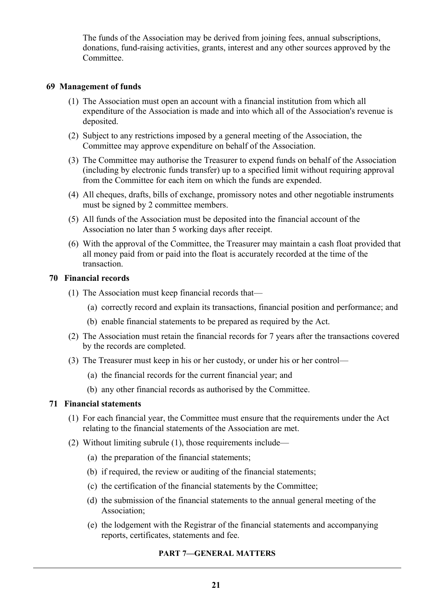The funds of the Association may be derived from joining fees, annual subscriptions, donations, fund-raising activities, grants, interest and any other sources approved by the **Committee** 

### **69 Management of funds**

- (1) The Association must open an account with a financial institution from which all expenditure of the Association is made and into which all of the Association's revenue is deposited.
- (2) Subject to any restrictions imposed by a general meeting of the Association, the Committee may approve expenditure on behalf of the Association.
- (3) The Committee may authorise the Treasurer to expend funds on behalf of the Association (including by electronic funds transfer) up to a specified limit without requiring approval from the Committee for each item on which the funds are expended.
- (4) All cheques, drafts, bills of exchange, promissory notes and other negotiable instruments must be signed by 2 committee members.
- (5) All funds of the Association must be deposited into the financial account of the Association no later than 5 working days after receipt.
- (6) With the approval of the Committee, the Treasurer may maintain a cash float provided that all money paid from or paid into the float is accurately recorded at the time of the transaction.

### **70 Financial records**

- (1) The Association must keep financial records that—
	- (a) correctly record and explain its transactions, financial position and performance; and
	- (b) enable financial statements to be prepared as required by the Act.
- (2) The Association must retain the financial records for 7 years after the transactions covered by the records are completed.
- (3) The Treasurer must keep in his or her custody, or under his or her control—
	- (a) the financial records for the current financial year; and
	- (b) any other financial records as authorised by the Committee.

## **71 Financial statements**

- (1) For each financial year, the Committee must ensure that the requirements under the Act relating to the financial statements of the Association are met.
- (2) Without limiting subrule (1), those requirements include—
	- (a) the preparation of the financial statements;
	- (b) if required, the review or auditing of the financial statements;
	- (c) the certification of the financial statements by the Committee;
	- (d) the submission of the financial statements to the annual general meeting of the Association;
	- (e) the lodgement with the Registrar of the financial statements and accompanying reports, certificates, statements and fee.

## **PART 7—GENERAL MATTERS**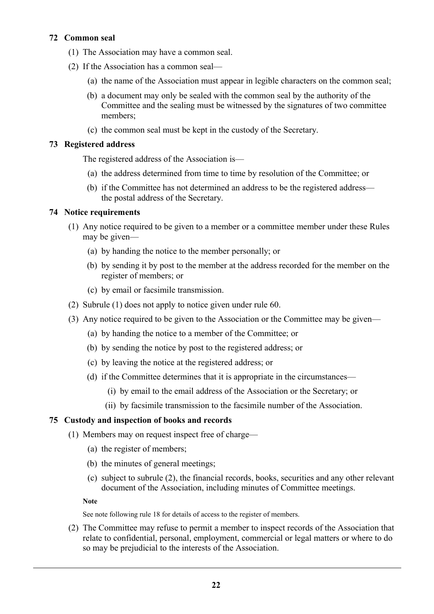## **72 Common seal**

- (1) The Association may have a common seal.
- (2) If the Association has a common seal—
	- (a) the name of the Association must appear in legible characters on the common seal;
	- (b) a document may only be sealed with the common seal by the authority of the Committee and the sealing must be witnessed by the signatures of two committee members;
	- (c) the common seal must be kept in the custody of the Secretary.

## **73 Registered address**

The registered address of the Association is—

- (a) the address determined from time to time by resolution of the Committee; or
- (b) if the Committee has not determined an address to be the registered address the postal address of the Secretary.

## **74 Notice requirements**

- (1) Any notice required to be given to a member or a committee member under these Rules may be given—
	- (a) by handing the notice to the member personally; or
	- (b) by sending it by post to the member at the address recorded for the member on the register of members; or
	- (c) by email or facsimile transmission.
- (2) Subrule (1) does not apply to notice given under rule 60.
- (3) Any notice required to be given to the Association or the Committee may be given—
	- (a) by handing the notice to a member of the Committee; or
	- (b) by sending the notice by post to the registered address; or
	- (c) by leaving the notice at the registered address; or
	- (d) if the Committee determines that it is appropriate in the circumstances—
		- (i) by email to the email address of the Association or the Secretary; or
		- (ii) by facsimile transmission to the facsimile number of the Association.

#### **75 Custody and inspection of books and records**

- (1) Members may on request inspect free of charge—
	- (a) the register of members;
	- (b) the minutes of general meetings;
	- (c) subject to subrule (2), the financial records, books, securities and any other relevant document of the Association, including minutes of Committee meetings.

**Note**

See note following rule 18 for details of access to the register of members.

(2) The Committee may refuse to permit a member to inspect records of the Association that relate to confidential, personal, employment, commercial or legal matters or where to do so may be prejudicial to the interests of the Association.